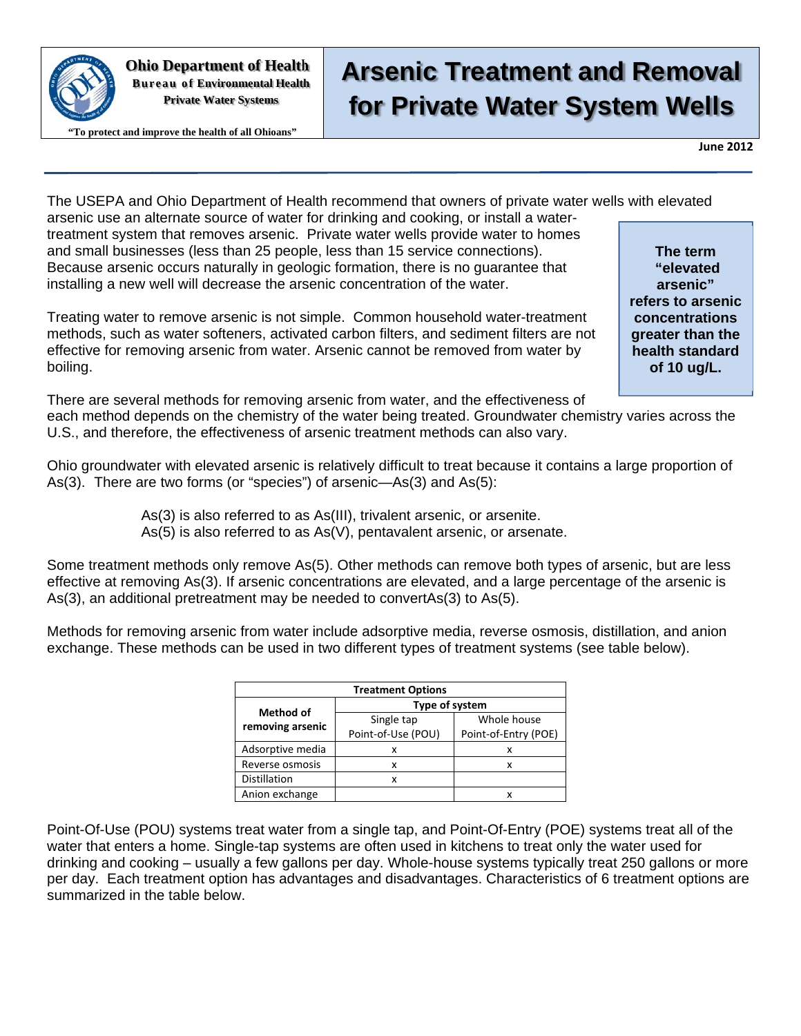

**Ohio Department of Health Bureau of Environmental Health Private Water Systems** 

#### **"To protect and improve the health of all Ohioans"**

**Arsenic Treatment and Removal for Private Water System Wells** 

**June 2012**

The USEPA and Ohio Department of Health recommend that owners of private water wells with elevated

arsenic use an alternate source of water for drinking and cooking, or install a watertreatment system that removes arsenic. Private water wells provide water to homes and small businesses (less than 25 people, less than 15 service connections). Because arsenic occurs naturally in geologic formation, there is no guarantee that installing a new well will decrease the arsenic concentration of the water.

Treating water to remove arsenic is not simple. Common household water-treatment methods, such as water softeners, activated carbon filters, and sediment filters are not effective for removing arsenic from water. Arsenic cannot be removed from water by boiling.

**The term "elevated arsenic" refers to arsenic concentrations greater than the health standard of 10 ug/L.** 

There are several methods for removing arsenic from water, and the effectiveness of each method depends on the chemistry of the water being treated. Groundwater chemistry varies across the U.S., and therefore, the effectiveness of arsenic treatment methods can also vary.

Ohio groundwater with elevated arsenic is relatively difficult to treat because it contains a large proportion of As(3). There are two forms (or "species") of arsenic—As(3) and As(5):

> As(3) is also referred to as As(III), trivalent arsenic, or arsenite. As(5) is also referred to as As(V), pentavalent arsenic, or arsenate.

Some treatment methods only remove As(5). Other methods can remove both types of arsenic, but are less effective at removing As(3). If arsenic concentrations are elevated, and a large percentage of the arsenic is As(3), an additional pretreatment may be needed to convertAs(3) to As(5).

Methods for removing arsenic from water include adsorptive media, reverse osmosis, distillation, and anion exchange. These methods can be used in two different types of treatment systems (see table below).

| <b>Treatment Options</b> |                    |                      |  |  |  |  |
|--------------------------|--------------------|----------------------|--|--|--|--|
| <b>Method of</b>         | Type of system     |                      |  |  |  |  |
| removing arsenic         | Single tap         | Whole house          |  |  |  |  |
|                          | Point-of-Use (POU) | Point-of-Entry (POE) |  |  |  |  |
| Adsorptive media         | x                  | x                    |  |  |  |  |
| Reverse osmosis          | x                  | x                    |  |  |  |  |
| <b>Distillation</b>      | x                  |                      |  |  |  |  |
| Anion exchange           |                    |                      |  |  |  |  |

Point-Of-Use (POU) systems treat water from a single tap, and Point-Of-Entry (POE) systems treat all of the water that enters a home. Single-tap systems are often used in kitchens to treat only the water used for drinking and cooking – usually a few gallons per day. Whole-house systems typically treat 250 gallons or more per day. Each treatment option has advantages and disadvantages. Characteristics of 6 treatment options are summarized in the table below.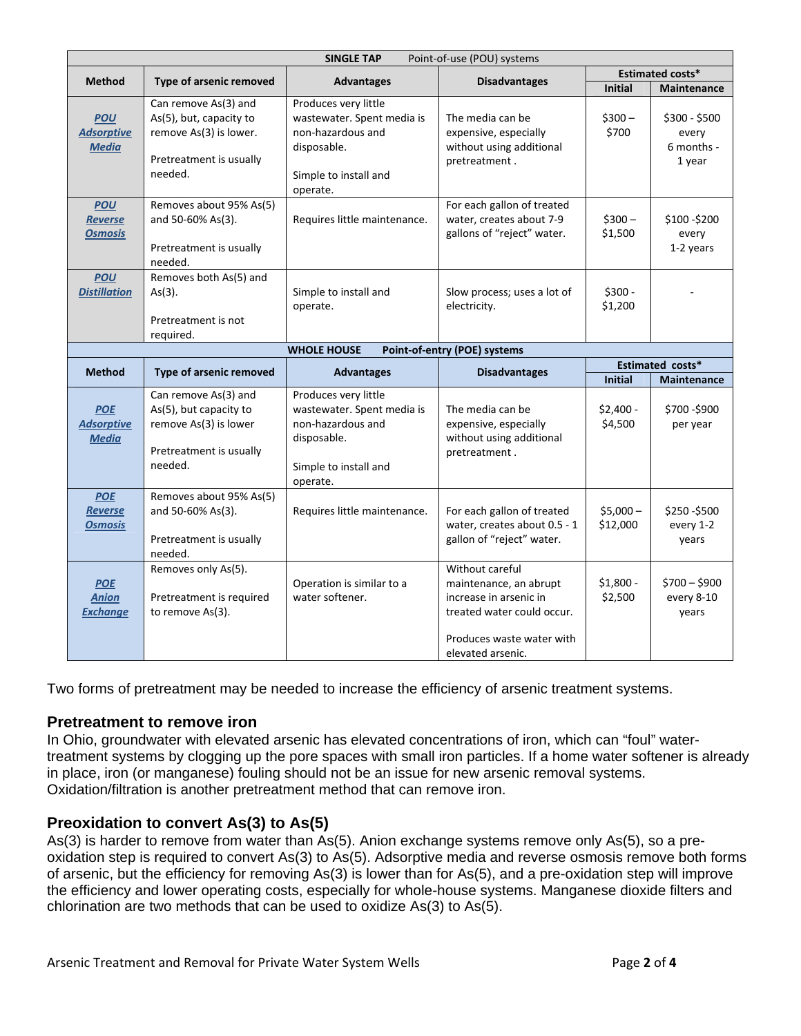| <b>SINGLE TAP</b><br>Point-of-use (POU) systems |                                                                                                                 |                                                                                                                             |                                                                                         |                         |                                                |  |
|-------------------------------------------------|-----------------------------------------------------------------------------------------------------------------|-----------------------------------------------------------------------------------------------------------------------------|-----------------------------------------------------------------------------------------|-------------------------|------------------------------------------------|--|
| <b>Method</b>                                   |                                                                                                                 |                                                                                                                             | <b>Disadvantages</b>                                                                    | <b>Estimated costs*</b> |                                                |  |
|                                                 | Type of arsenic removed                                                                                         | <b>Advantages</b>                                                                                                           |                                                                                         | <b>Initial</b>          | <b>Maintenance</b>                             |  |
| <b>POU</b><br><b>Adsorptive</b><br><b>Media</b> | Can remove As(3) and<br>As(5), but, capacity to<br>remove As(3) is lower.<br>Pretreatment is usually<br>needed. | Produces very little<br>wastewater. Spent media is<br>non-hazardous and<br>disposable.<br>Simple to install and<br>operate. | The media can be<br>expensive, especially<br>without using additional<br>pretreatment.  | $$300 -$<br>\$700       | $$300 - $500$<br>every<br>6 months -<br>1 year |  |
| <b>POU</b><br><b>Reverse</b><br><b>Osmosis</b>  | Removes about 95% As(5)<br>and 50-60% As(3).<br>Pretreatment is usually<br>needed.                              | Requires little maintenance.                                                                                                | For each gallon of treated<br>water, creates about 7-9<br>gallons of "reject" water.    | $$300-$<br>\$1,500      | \$100-\$200<br>every<br>1-2 years              |  |
| <b>POU</b><br><b>Distillation</b>               | Removes both As(5) and<br>$As(3)$ .<br>Pretreatment is not<br>required.                                         | Simple to install and<br>operate.                                                                                           | Slow process; uses a lot of<br>electricity.                                             | $$300 -$<br>\$1,200     |                                                |  |
|                                                 |                                                                                                                 | <b>WHOLE HOUSE</b>                                                                                                          | Point-of-entry (POE) systems                                                            |                         |                                                |  |
| <b>Method</b>                                   | Type of arsenic removed                                                                                         | <b>Advantages</b>                                                                                                           | <b>Disadvantages</b>                                                                    |                         | Estimated costs*                               |  |
|                                                 |                                                                                                                 |                                                                                                                             |                                                                                         | <b>Initial</b>          | <b>Maintenance</b>                             |  |
| <b>POE</b><br><b>Adsorptive</b><br><b>Media</b> | Can remove As(3) and<br>As(5), but capacity to<br>remove As(3) is lower<br>Pretreatment is usually<br>needed.   | Produces very little<br>wastewater. Spent media is<br>non-hazardous and<br>disposable.<br>Simple to install and             | The media can be<br>expensive, especially<br>without using additional<br>pretreatment.  | $$2,400 -$<br>\$4,500   | \$700-\$900<br>per year                        |  |
|                                                 |                                                                                                                 | operate.                                                                                                                    |                                                                                         |                         |                                                |  |
| <b>POE</b><br>Reverse<br><b>Osmosis</b>         | Removes about 95% As(5)<br>and 50-60% As(3).<br>Pretreatment is usually<br>needed.                              | Requires little maintenance.                                                                                                | For each gallon of treated<br>water, creates about 0.5 - 1<br>gallon of "reject" water. | $$5,000-$<br>\$12,000   | \$250-\$500<br>every 1-2<br>years              |  |

Two forms of pretreatment may be needed to increase the efficiency of arsenic treatment systems.

#### **Pretreatment to remove iron**

In Ohio, groundwater with elevated arsenic has elevated concentrations of iron, which can "foul" watertreatment systems by clogging up the pore spaces with small iron particles. If a home water softener is already in place, iron (or manganese) fouling should not be an issue for new arsenic removal systems. Oxidation/filtration is another pretreatment method that can remove iron.

### **Preoxidation to convert As(3) to As(5)**

As(3) is harder to remove from water than As(5). Anion exchange systems remove only As(5), so a preoxidation step is required to convert As(3) to As(5). Adsorptive media and reverse osmosis remove both forms of arsenic, but the efficiency for removing As(3) is lower than for As(5), and a pre-oxidation step will improve the efficiency and lower operating costs, especially for whole-house systems. Manganese dioxide filters and chlorination are two methods that can be used to oxidize As(3) to As(5).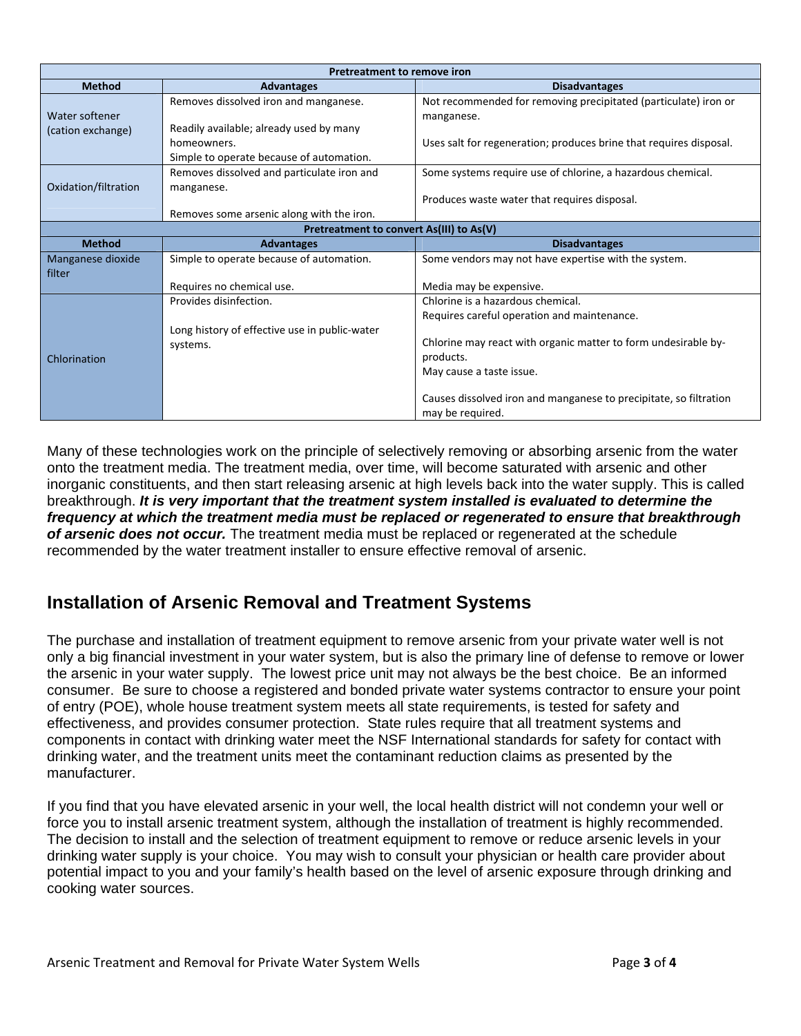| Pretreatment to remove iron              |                                               |                                                                    |  |  |  |  |
|------------------------------------------|-----------------------------------------------|--------------------------------------------------------------------|--|--|--|--|
| <b>Method</b>                            | <b>Advantages</b>                             | <b>Disadvantages</b>                                               |  |  |  |  |
|                                          | Removes dissolved iron and manganese.         | Not recommended for removing precipitated (particulate) iron or    |  |  |  |  |
| Water softener                           |                                               | manganese.                                                         |  |  |  |  |
| (cation exchange)                        | Readily available; already used by many       |                                                                    |  |  |  |  |
|                                          | homeowners.                                   | Uses salt for regeneration; produces brine that requires disposal. |  |  |  |  |
|                                          | Simple to operate because of automation.      |                                                                    |  |  |  |  |
|                                          | Removes dissolved and particulate iron and    | Some systems require use of chlorine, a hazardous chemical.        |  |  |  |  |
| Oxidation/filtration                     | manganese.                                    |                                                                    |  |  |  |  |
|                                          |                                               | Produces waste water that requires disposal.                       |  |  |  |  |
|                                          | Removes some arsenic along with the iron.     |                                                                    |  |  |  |  |
| Pretreatment to convert As(III) to As(V) |                                               |                                                                    |  |  |  |  |
| <b>Method</b>                            | <b>Advantages</b>                             | <b>Disadvantages</b>                                               |  |  |  |  |
| Manganese dioxide                        | Simple to operate because of automation.      | Some vendors may not have expertise with the system.               |  |  |  |  |
| filter                                   |                                               |                                                                    |  |  |  |  |
|                                          | Requires no chemical use.                     | Media may be expensive.                                            |  |  |  |  |
|                                          | Provides disinfection.                        | Chlorine is a hazardous chemical.                                  |  |  |  |  |
|                                          |                                               | Requires careful operation and maintenance.                        |  |  |  |  |
|                                          | Long history of effective use in public-water |                                                                    |  |  |  |  |
|                                          | systems.                                      | Chlorine may react with organic matter to form undesirable by-     |  |  |  |  |
| Chlorination                             |                                               | products.                                                          |  |  |  |  |
|                                          |                                               | May cause a taste issue.                                           |  |  |  |  |
|                                          |                                               |                                                                    |  |  |  |  |
|                                          |                                               | Causes dissolved iron and manganese to precipitate, so filtration  |  |  |  |  |
|                                          |                                               | may be required.                                                   |  |  |  |  |

Many of these technologies work on the principle of selectively removing or absorbing arsenic from the water onto the treatment media. The treatment media, over time, will become saturated with arsenic and other inorganic constituents, and then start releasing arsenic at high levels back into the water supply. This is called breakthrough. *It is very important that the treatment system installed is evaluated to determine the frequency at which the treatment media must be replaced or regenerated to ensure that breakthrough of arsenic does not occur.* The treatment media must be replaced or regenerated at the schedule recommended by the water treatment installer to ensure effective removal of arsenic.

## **Installation of Arsenic Removal and Treatment Systems**

The purchase and installation of treatment equipment to remove arsenic from your private water well is not only a big financial investment in your water system, but is also the primary line of defense to remove or lower the arsenic in your water supply. The lowest price unit may not always be the best choice. Be an informed consumer. Be sure to choose a registered and bonded private water systems contractor to ensure your point of entry (POE), whole house treatment system meets all state requirements, is tested for safety and effectiveness, and provides consumer protection. State rules require that all treatment systems and components in contact with drinking water meet the NSF International standards for safety for contact with drinking water, and the treatment units meet the contaminant reduction claims as presented by the manufacturer.

If you find that you have elevated arsenic in your well, the local health district will not condemn your well or force you to install arsenic treatment system, although the installation of treatment is highly recommended. The decision to install and the selection of treatment equipment to remove or reduce arsenic levels in your drinking water supply is your choice. You may wish to consult your physician or health care provider about potential impact to you and your family's health based on the level of arsenic exposure through drinking and cooking water sources.